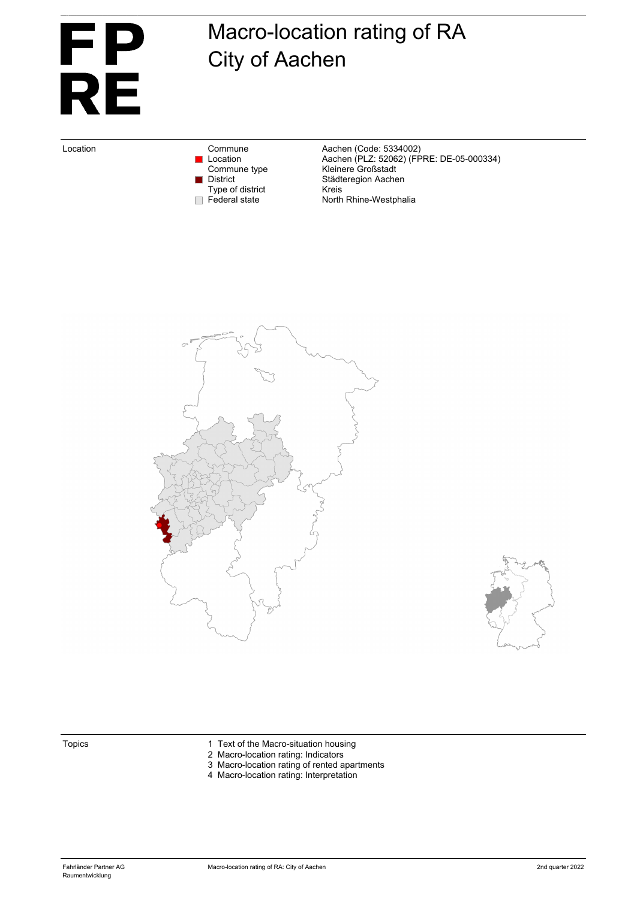

# Macro-location rating of RA City of Aachen

Type of district<br>Federal state

Location Commune Commune Aachen (Code: 5334002)<br>Location Location Aachen (PLZ: 52062) (FF Location Aachen (PLZ: 52062) (FPRE: DE-05-000334) Commune type **Kleinere Großstadt** District Städteregion Aachen<br>Type of district Kreis North Rhine-Westphalia





- Topics 1 Text of the Macro-situation housing
	- 2 Macro-location rating: Indicators
	- 3 Macro-location rating of rented apartments
	- 4 Macro-location rating: Interpretation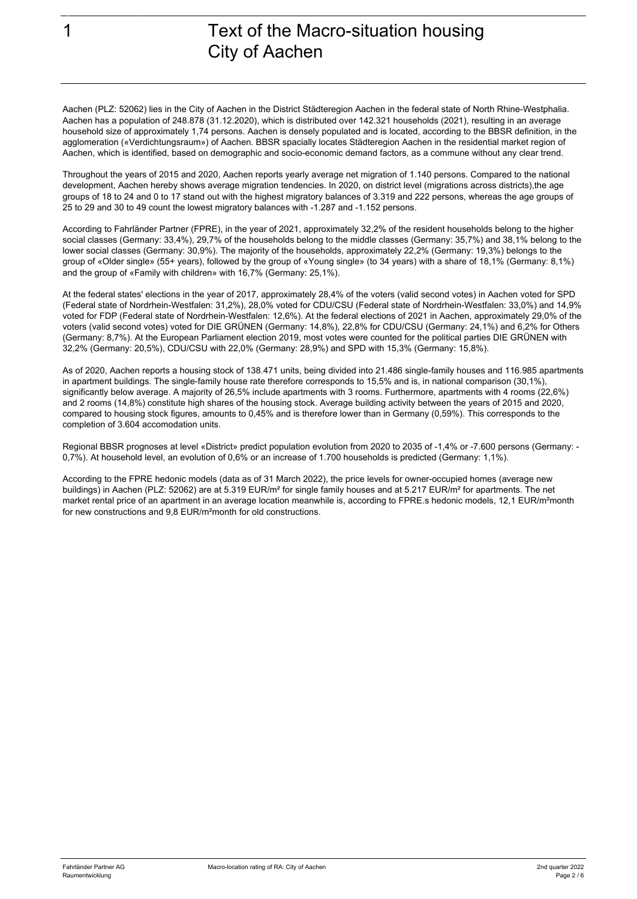Aachen (PLZ: 52062) lies in the City of Aachen in the District Städteregion Aachen in the federal state of North Rhine-Westphalia. Aachen has a population of 248.878 (31.12.2020), which is distributed over 142.321 households (2021), resulting in an average household size of approximately 1,74 persons. Aachen is densely populated and is located, according to the BBSR definition, in the agglomeration («Verdichtungsraum») of Aachen. BBSR spacially locates Städteregion Aachen in the residential market region of Aachen, which is identified, based on demographic and socio-economic demand factors, as a commune without any clear trend.

Throughout the years of 2015 and 2020, Aachen reports yearly average net migration of 1.140 persons. Compared to the national development, Aachen hereby shows average migration tendencies. In 2020, on district level (migrations across districts), the age groups of 18 to 24 and 0 to 17 stand out with the highest migratory balances of 3.319 and 222 persons, whereas the age groups of 25 to 29 and 30 to 49 count the lowest migratory balances with -1.287 and -1.152 persons.

According to Fahrländer Partner (FPRE), in the year of 2021, approximately 32,2% of the resident households belong to the higher social classes (Germany: 33,4%), 29,7% of the households belong to the middle classes (Germany: 35,7%) and 38,1% belong to the lower social classes (Germany: 30,9%). The majority of the households, approximately 22,2% (Germany: 19,3%) belongs to the group of «Older single» (55+ years), followed by the group of «Young single» (to 34 years) with a share of 18,1% (Germany: 8,1%) and the group of «Family with children» with 16,7% (Germany: 25,1%).

At the federal states' elections in the year of 2017, approximately 28,4% of the voters (valid second votes) in Aachen voted for SPD (Federal state of Nordrhein-Westfalen: 31,2%), 28,0% voted for CDU/CSU (Federal state of Nordrhein-Westfalen: 33,0%) and 14,9% voted for FDP (Federal state of Nordrhein-Westfalen: 12,6%). At the federal elections of 2021 in Aachen, approximately 29,0% of the voters (valid second votes) voted for DIE GRÜNEN (Germany: 14,8%), 22,8% for CDU/CSU (Germany: 24,1%) and 6,2% for Others (Germany: 8,7%). At the European Parliament election 2019, most votes were counted for the political parties DIE GRÜNEN with 32,2% (Germany: 20,5%), CDU/CSU with 22,0% (Germany: 28,9%) and SPD with 15,3% (Germany: 15,8%).

As of 2020, Aachen reports a housing stock of 138.471 units, being divided into 21.486 single-family houses and 116.985 apartments in apartment buildings. The single-family house rate therefore corresponds to 15,5% and is, in national comparison (30,1%), significantly below average. A majority of 26,5% include apartments with 3 rooms. Furthermore, apartments with 4 rooms (22,6%) and 2 rooms (14,8%) constitute high shares of the housing stock. Average building activity between the years of 2015 and 2020, compared to housing stock figures, amounts to 0,45% and is therefore lower than in Germany (0,59%). This corresponds to the completion of 3.604 accomodation units.

Regional BBSR prognoses at level «District» predict population evolution from 2020 to 2035 of -1,4% or -7.600 persons (Germany: - 0,7%). At household level, an evolution of 0,6% or an increase of 1.700 households is predicted (Germany: 1,1%).

According to the FPRE hedonic models (data as of 31 March 2022), the price levels for owner-occupied homes (average new buildings) in Aachen (PLZ: 52062) are at 5.319 EUR/m<sup>2</sup> for single family houses and at 5.217 EUR/m<sup>2</sup> for apartments. The net market rental price of an apartment in an average location meanwhile is, according to FPRE.s hedonic models, 12,1 EUR/m²month for new constructions and 9,8 EUR/m²month for old constructions.

Eigentum von Fahrländer Partner AG, Zürich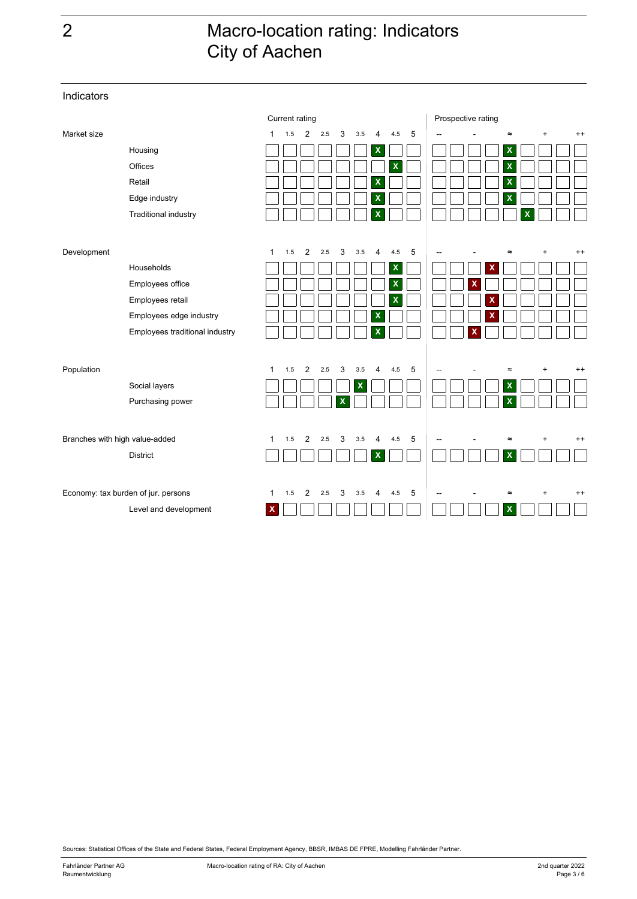### 2 Macro-location rating: Indicators City of Aachen

Current rating **Prospective rating** Market size 1 1.5 2 2.5 3 3.5 4 4.5 5 -- -. - .- ≈ .+ + +. ++ Housing **X X** Offices **X X** Retail **X X** Edge industry **X X** Traditional industry **X X** Development the term of the contract the contract term of the contract term of the contract term of the contract term of the contract of the contract of the contract of the contract of the contract of the contract of the Households **X X** Employees office **X X** Employees retail  $\Box \Box \Box \Box \Box \Box \Box$  **X** Employees edge industry **X X** Employees traditional industry  $\textsf{Population} \quad \textsf{1} \quad \textsf{2} \quad \textsf{2.5} \quad \textsf{3} \quad \textsf{3.5} \quad \textsf{4} \quad \textsf{4.5} \quad \textsf{5} \quad \textsf{|-} \quad \textsf{=} \quad \textsf{=} \quad \textsf{+} \quad \textsf{++}$ Social layers **X X** Purchasing power **X X** Branches with high value-added 1 1.5 2 2.5 3 3.5 4 4.5 5  $-$  - ≈ + ++ District **X X** Economy: tax burden of jur. persons 1 1.5 2 2.5 3 3.5 4 4.5 5  $-$  - ≈ + ++ Level and development **X X**  $\Box$ a ka

Sources: Statistical Offices of the State and Federal States, Federal Employment Agency, BBSR, IMBAS DE FPRE, Modelling Fahrländer Partner.

Indicators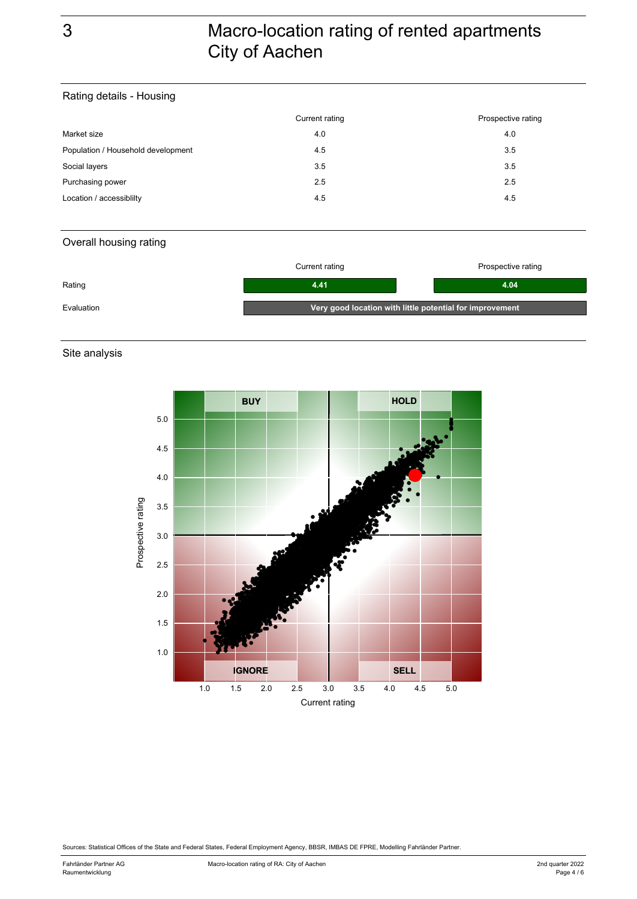## 3 Macro-location rating of rented apartments City of Aachen

#### Rating details - Housing

|                                    | Current rating | Prospective rating |
|------------------------------------|----------------|--------------------|
| Market size                        | 4.0            | 4.0                |
| Population / Household development | 4.5            | 3.5                |
| Social layers                      | 3.5            | 3.5                |
| Purchasing power                   | 2.5            | 2.5                |
| Location / accessibility           | 4.5            | 4.5                |

#### Overall housing rating

|            | Current rating                                           | Prospective rating |
|------------|----------------------------------------------------------|--------------------|
| Rating     | 4.41                                                     | 4.04               |
| Evaluation | Very good location with little potential for improvement |                    |

Site analysis



Sources: Statistical Offices of the State and Federal States, Federal Employment Agency, BBSR, IMBAS DE FPRE, Modelling Fahrländer Partner.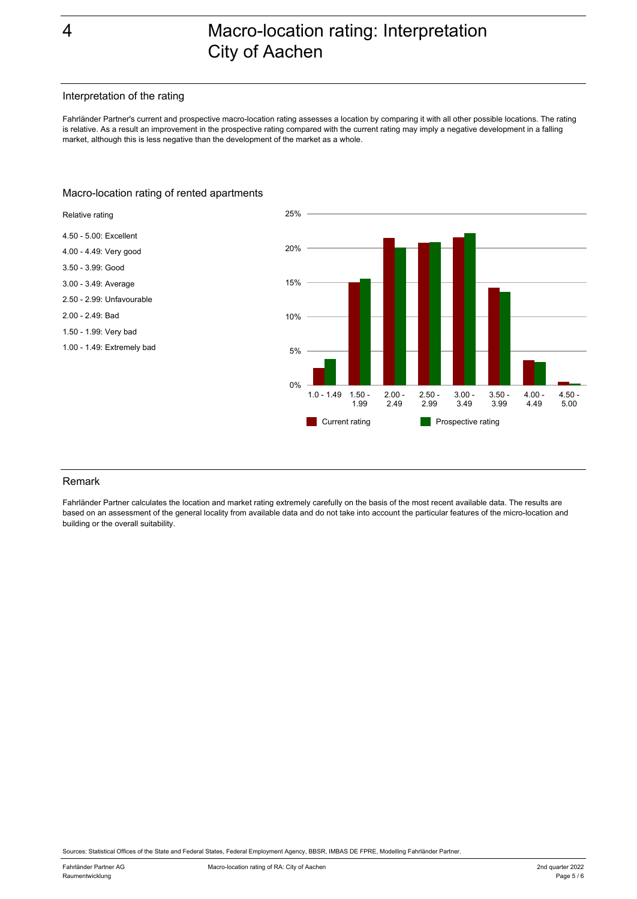### 4 Macro-location rating: Interpretation City of Aachen

#### Interpretation of the rating

Fahrländer Partner's current and prospective macro-location rating assesses a location by comparing it with all other possible locations. The rating is relative. As a result an improvement in the prospective rating compared with the current rating may imply a negative development in a falling market, although this is less negative than the development of the market as a whole.

#### Macro-location rating of rented apartments



#### Remark

Fahrländer Partner calculates the location and market rating extremely carefully on the basis of the most recent available data. The results are based on an assessment of the general locality from available data and do not take into account the particular features of the micro-location and building or the overall suitability.

Sources: Statistical Offices of the State and Federal States, Federal Employment Agency, BBSR, IMBAS DE FPRE, Modelling Fahrländer Partner.